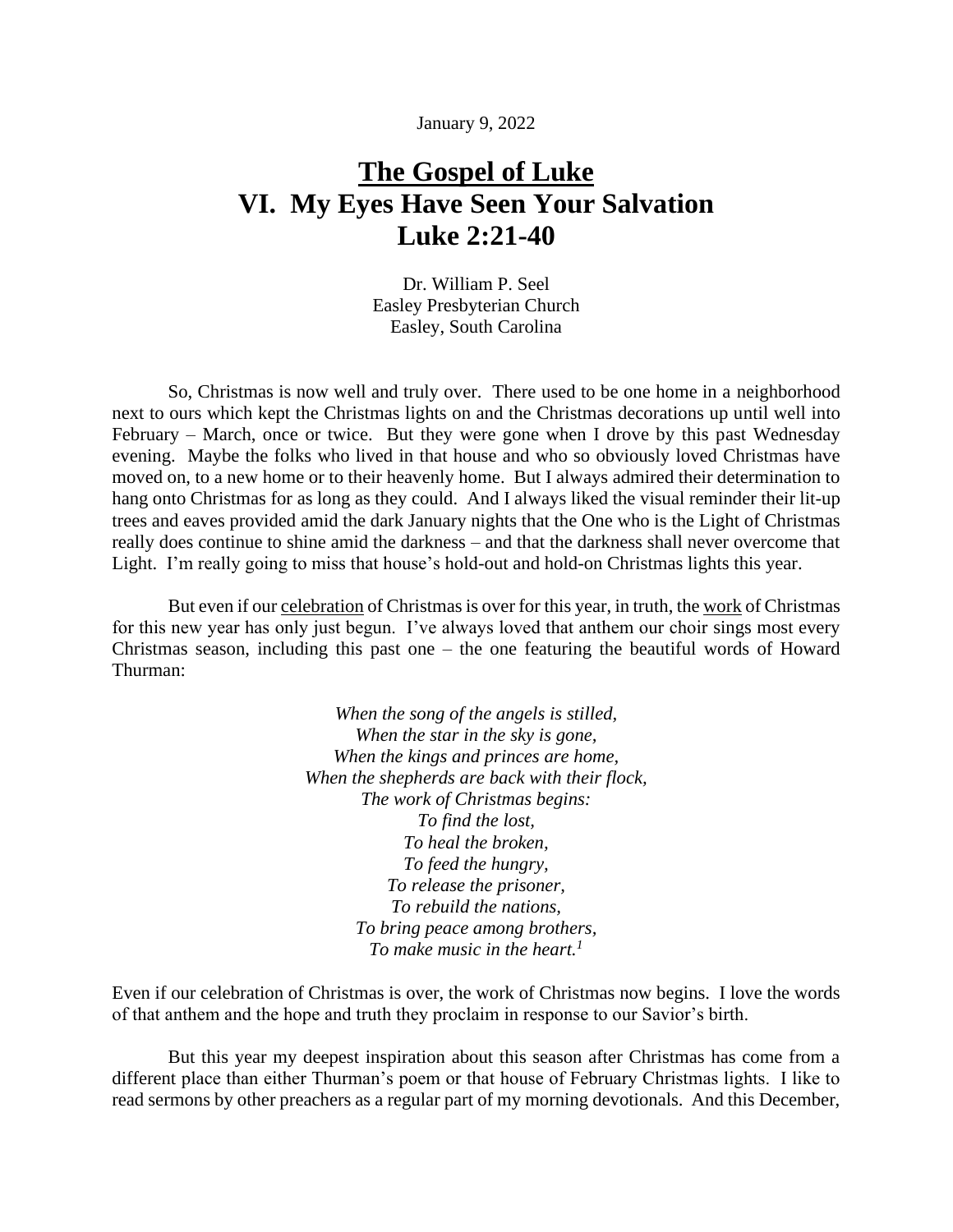January 9, 2022

## **The Gospel of Luke VI. My Eyes Have Seen Your Salvation Luke 2:21-40**

Dr. William P. Seel Easley Presbyterian Church Easley, South Carolina

So, Christmas is now well and truly over. There used to be one home in a neighborhood next to ours which kept the Christmas lights on and the Christmas decorations up until well into February – March, once or twice. But they were gone when I drove by this past Wednesday evening. Maybe the folks who lived in that house and who so obviously loved Christmas have moved on, to a new home or to their heavenly home. But I always admired their determination to hang onto Christmas for as long as they could. And I always liked the visual reminder their lit-up trees and eaves provided amid the dark January nights that the One who is the Light of Christmas really does continue to shine amid the darkness – and that the darkness shall never overcome that Light. I'm really going to miss that house's hold-out and hold-on Christmas lights this year.

But even if our celebration of Christmas is over for this year, in truth, the work of Christmas for this new year has only just begun. I've always loved that anthem our choir sings most every Christmas season, including this past one – the one featuring the beautiful words of Howard Thurman:

> *When the song of the angels is stilled, When the star in the sky is gone, When the kings and princes are home, When the shepherds are back with their flock, The work of Christmas begins: To find the lost, To heal the broken, To feed the hungry, To release the prisoner, To rebuild the nations, To bring peace among brothers, To make music in the heart.<sup>1</sup>*

Even if our celebration of Christmas is over, the work of Christmas now begins. I love the words of that anthem and the hope and truth they proclaim in response to our Savior's birth.

But this year my deepest inspiration about this season after Christmas has come from a different place than either Thurman's poem or that house of February Christmas lights. I like to read sermons by other preachers as a regular part of my morning devotionals. And this December,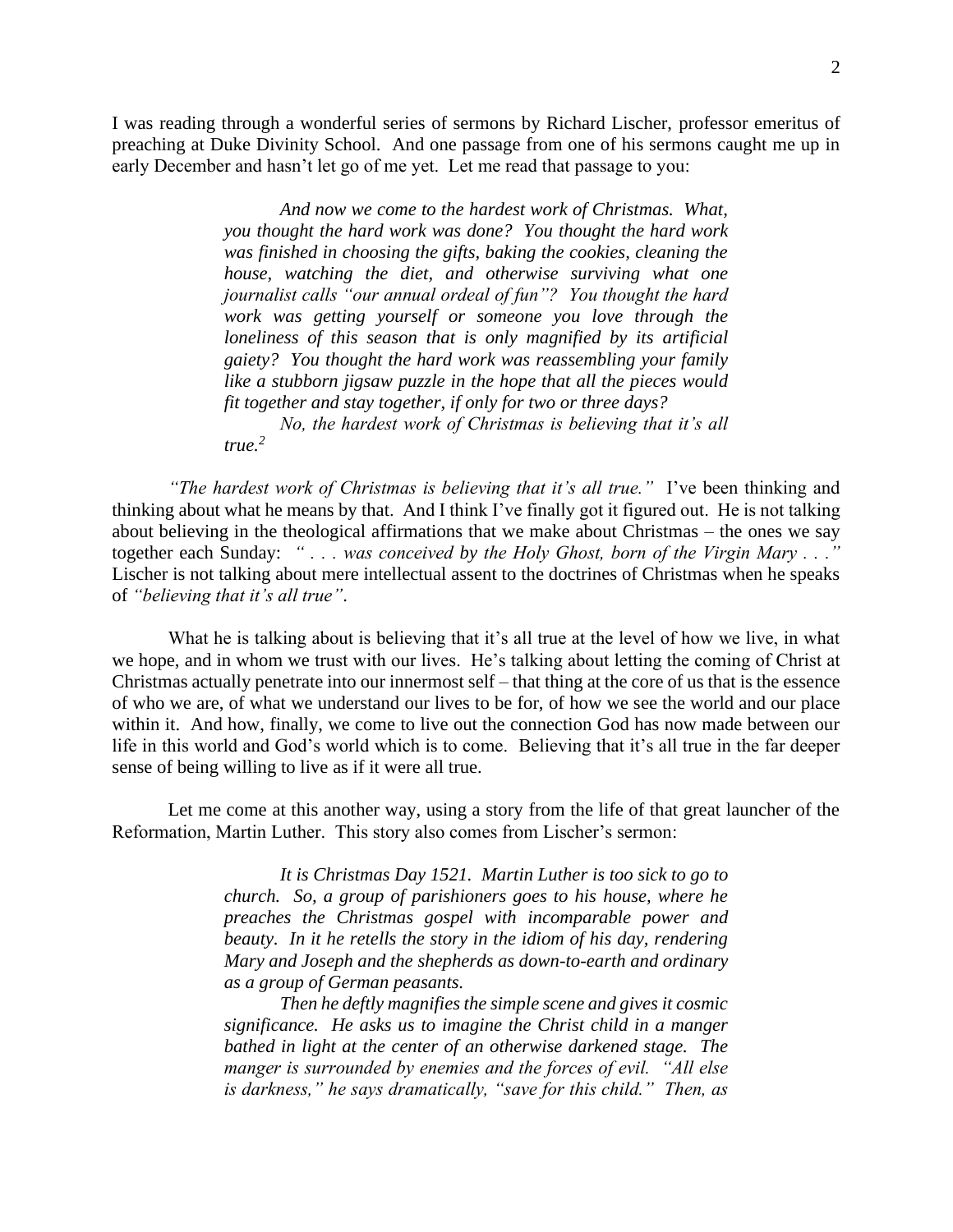I was reading through a wonderful series of sermons by Richard Lischer, professor emeritus of preaching at Duke Divinity School. And one passage from one of his sermons caught me up in early December and hasn't let go of me yet. Let me read that passage to you:

> *And now we come to the hardest work of Christmas. What, you thought the hard work was done? You thought the hard work was finished in choosing the gifts, baking the cookies, cleaning the house, watching the diet, and otherwise surviving what one journalist calls "our annual ordeal of fun"? You thought the hard work was getting yourself or someone you love through the loneliness of this season that is only magnified by its artificial gaiety? You thought the hard work was reassembling your family like a stubborn jigsaw puzzle in the hope that all the pieces would fit together and stay together, if only for two or three days?*

> *No, the hardest work of Christmas is believing that it's all true.<sup>2</sup>*

*"The hardest work of Christmas is believing that it's all true."* I've been thinking and thinking about what he means by that. And I think I've finally got it figured out. He is not talking about believing in the theological affirmations that we make about Christmas – the ones we say together each Sunday: *" . . . was conceived by the Holy Ghost, born of the Virgin Mary . . ."* Lischer is not talking about mere intellectual assent to the doctrines of Christmas when he speaks of *"believing that it's all true"*.

What he is talking about is believing that it's all true at the level of how we live, in what we hope, and in whom we trust with our lives. He's talking about letting the coming of Christ at Christmas actually penetrate into our innermost self – that thing at the core of us that is the essence of who we are, of what we understand our lives to be for, of how we see the world and our place within it. And how, finally, we come to live out the connection God has now made between our life in this world and God's world which is to come. Believing that it's all true in the far deeper sense of being willing to live as if it were all true.

Let me come at this another way, using a story from the life of that great launcher of the Reformation, Martin Luther. This story also comes from Lischer's sermon:

> *It is Christmas Day 1521. Martin Luther is too sick to go to church. So, a group of parishioners goes to his house, where he preaches the Christmas gospel with incomparable power and beauty. In it he retells the story in the idiom of his day, rendering Mary and Joseph and the shepherds as down-to-earth and ordinary as a group of German peasants.*

> *Then he deftly magnifies the simple scene and gives it cosmic significance. He asks us to imagine the Christ child in a manger bathed in light at the center of an otherwise darkened stage. The manger is surrounded by enemies and the forces of evil. "All else is darkness," he says dramatically, "save for this child." Then, as*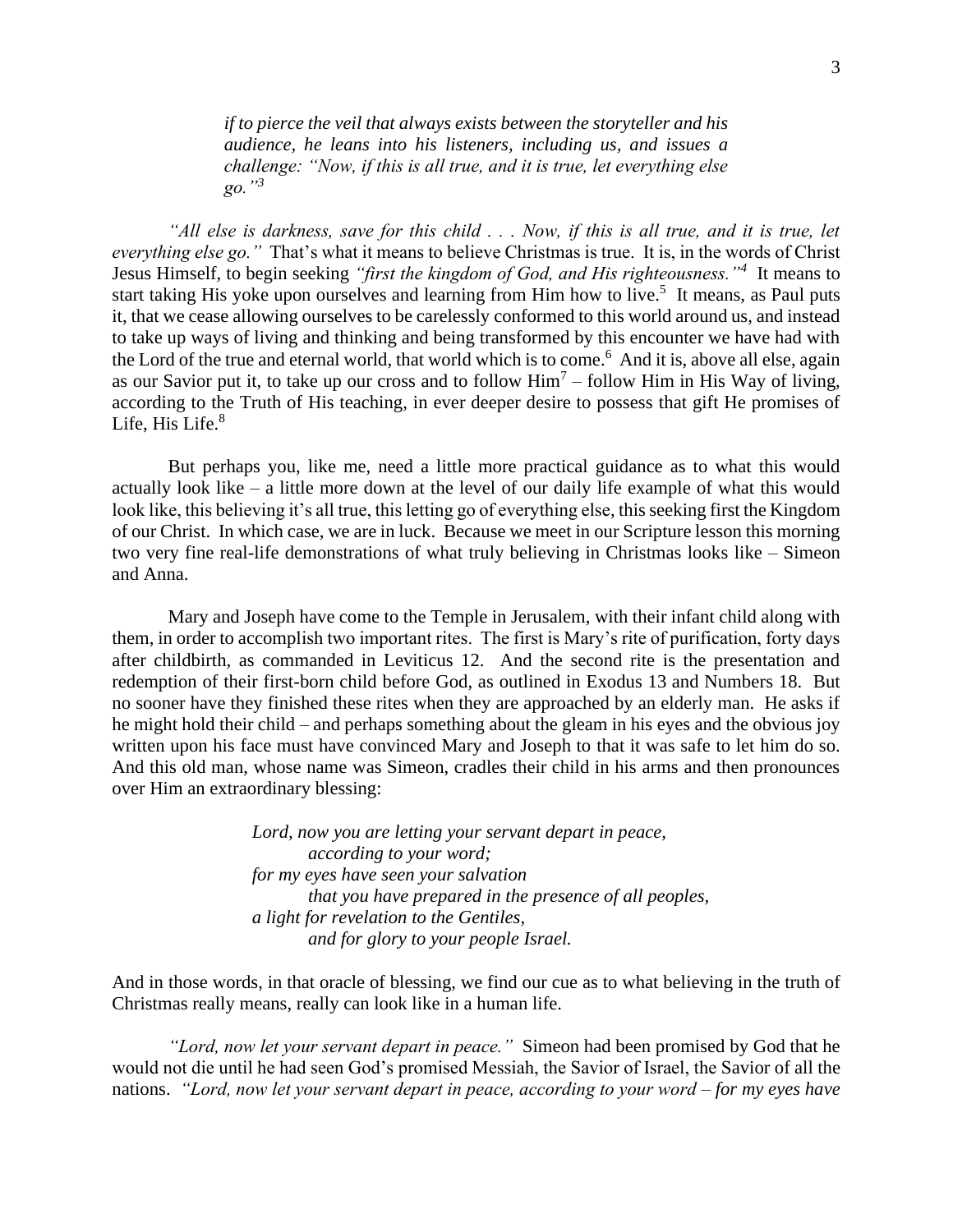*if to pierce the veil that always exists between the storyteller and his audience, he leans into his listeners, including us, and issues a challenge: "Now, if this is all true, and it is true, let everything else go."<sup>3</sup>* 

*"All else is darkness, save for this child . . . Now, if this is all true, and it is true, let everything else go."* That's what it means to believe Christmas is true. It is, in the words of Christ Jesus Himself, to begin seeking *"first the kingdom of God, and His righteousness."<sup>4</sup>* It means to start taking His yoke upon ourselves and learning from Him how to live.<sup>5</sup> It means, as Paul puts it, that we cease allowing ourselves to be carelessly conformed to this world around us, and instead to take up ways of living and thinking and being transformed by this encounter we have had with the Lord of the true and eternal world, that world which is to come.<sup>6</sup> And it is, above all else, again as our Savior put it, to take up our cross and to follow  $\text{Him}^7$  – follow  $\text{Him}$  in His Way of living, according to the Truth of His teaching, in ever deeper desire to possess that gift He promises of Life, His Life.<sup>8</sup>

But perhaps you, like me, need a little more practical guidance as to what this would actually look like – a little more down at the level of our daily life example of what this would look like, this believing it's all true, this letting go of everything else, this seeking first the Kingdom of our Christ. In which case, we are in luck. Because we meet in our Scripture lesson this morning two very fine real-life demonstrations of what truly believing in Christmas looks like – Simeon and Anna.

Mary and Joseph have come to the Temple in Jerusalem, with their infant child along with them, in order to accomplish two important rites. The first is Mary's rite of purification, forty days after childbirth, as commanded in Leviticus 12. And the second rite is the presentation and redemption of their first-born child before God, as outlined in Exodus 13 and Numbers 18. But no sooner have they finished these rites when they are approached by an elderly man. He asks if he might hold their child – and perhaps something about the gleam in his eyes and the obvious joy written upon his face must have convinced Mary and Joseph to that it was safe to let him do so. And this old man, whose name was Simeon, cradles their child in his arms and then pronounces over Him an extraordinary blessing:

> *Lord, now you are letting your servant depart in peace, according to your word; for my eyes have seen your salvation that you have prepared in the presence of all peoples, a light for revelation to the Gentiles, and for glory to your people Israel.*

And in those words, in that oracle of blessing, we find our cue as to what believing in the truth of Christmas really means, really can look like in a human life.

*"Lord, now let your servant depart in peace."* Simeon had been promised by God that he would not die until he had seen God's promised Messiah, the Savior of Israel, the Savior of all the nations. *"Lord, now let your servant depart in peace, according to your word – for my eyes have*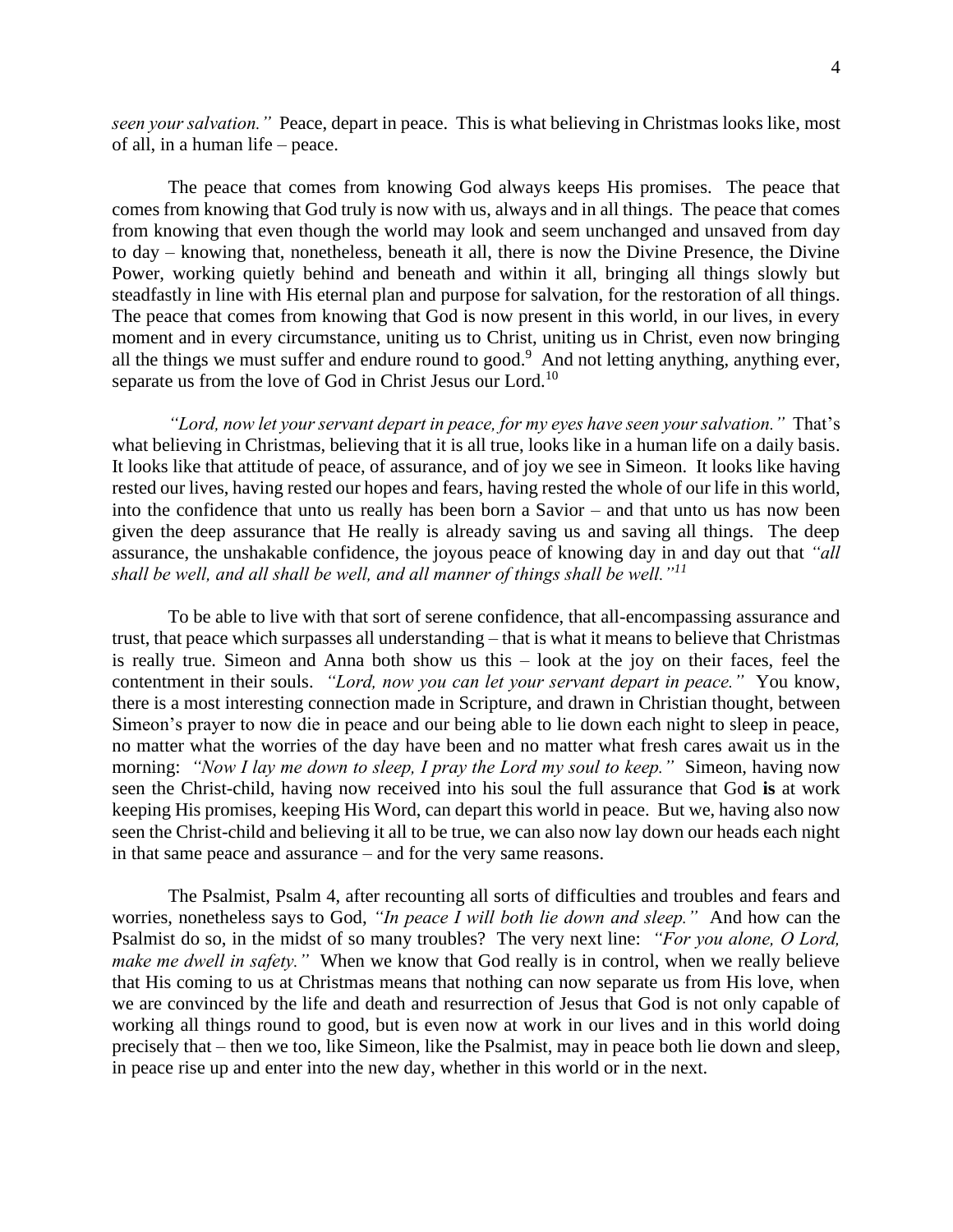*seen your salvation."* Peace, depart in peace. This is what believing in Christmas looks like, most of all, in a human life – peace.

The peace that comes from knowing God always keeps His promises. The peace that comes from knowing that God truly is now with us, always and in all things. The peace that comes from knowing that even though the world may look and seem unchanged and unsaved from day to day – knowing that, nonetheless, beneath it all, there is now the Divine Presence, the Divine Power, working quietly behind and beneath and within it all, bringing all things slowly but steadfastly in line with His eternal plan and purpose for salvation, for the restoration of all things. The peace that comes from knowing that God is now present in this world, in our lives, in every moment and in every circumstance, uniting us to Christ, uniting us in Christ, even now bringing all the things we must suffer and endure round to good.<sup>9</sup> And not letting anything, anything ever, separate us from the love of God in Christ Jesus our Lord.<sup>10</sup>

*"Lord, now let your servant depart in peace, for my eyes have seen your salvation."* That's what believing in Christmas, believing that it is all true, looks like in a human life on a daily basis. It looks like that attitude of peace, of assurance, and of joy we see in Simeon. It looks like having rested our lives, having rested our hopes and fears, having rested the whole of our life in this world, into the confidence that unto us really has been born a Savior – and that unto us has now been given the deep assurance that He really is already saving us and saving all things. The deep assurance, the unshakable confidence, the joyous peace of knowing day in and day out that *"all shall be well, and all shall be well, and all manner of things shall be well."<sup>11</sup>*

To be able to live with that sort of serene confidence, that all-encompassing assurance and trust, that peace which surpasses all understanding – that is what it means to believe that Christmas is really true. Simeon and Anna both show us this – look at the joy on their faces, feel the contentment in their souls. *"Lord, now you can let your servant depart in peace."* You know, there is a most interesting connection made in Scripture, and drawn in Christian thought, between Simeon's prayer to now die in peace and our being able to lie down each night to sleep in peace, no matter what the worries of the day have been and no matter what fresh cares await us in the morning: *"Now I lay me down to sleep, I pray the Lord my soul to keep."* Simeon, having now seen the Christ-child, having now received into his soul the full assurance that God **is** at work keeping His promises, keeping His Word, can depart this world in peace. But we, having also now seen the Christ-child and believing it all to be true, we can also now lay down our heads each night in that same peace and assurance – and for the very same reasons.

The Psalmist, Psalm 4, after recounting all sorts of difficulties and troubles and fears and worries, nonetheless says to God, *"In peace I will both lie down and sleep."* And how can the Psalmist do so, in the midst of so many troubles? The very next line: *"For you alone, O Lord, make me dwell in safety.*" When we know that God really is in control, when we really believe that His coming to us at Christmas means that nothing can now separate us from His love, when we are convinced by the life and death and resurrection of Jesus that God is not only capable of working all things round to good, but is even now at work in our lives and in this world doing precisely that – then we too, like Simeon, like the Psalmist, may in peace both lie down and sleep, in peace rise up and enter into the new day, whether in this world or in the next.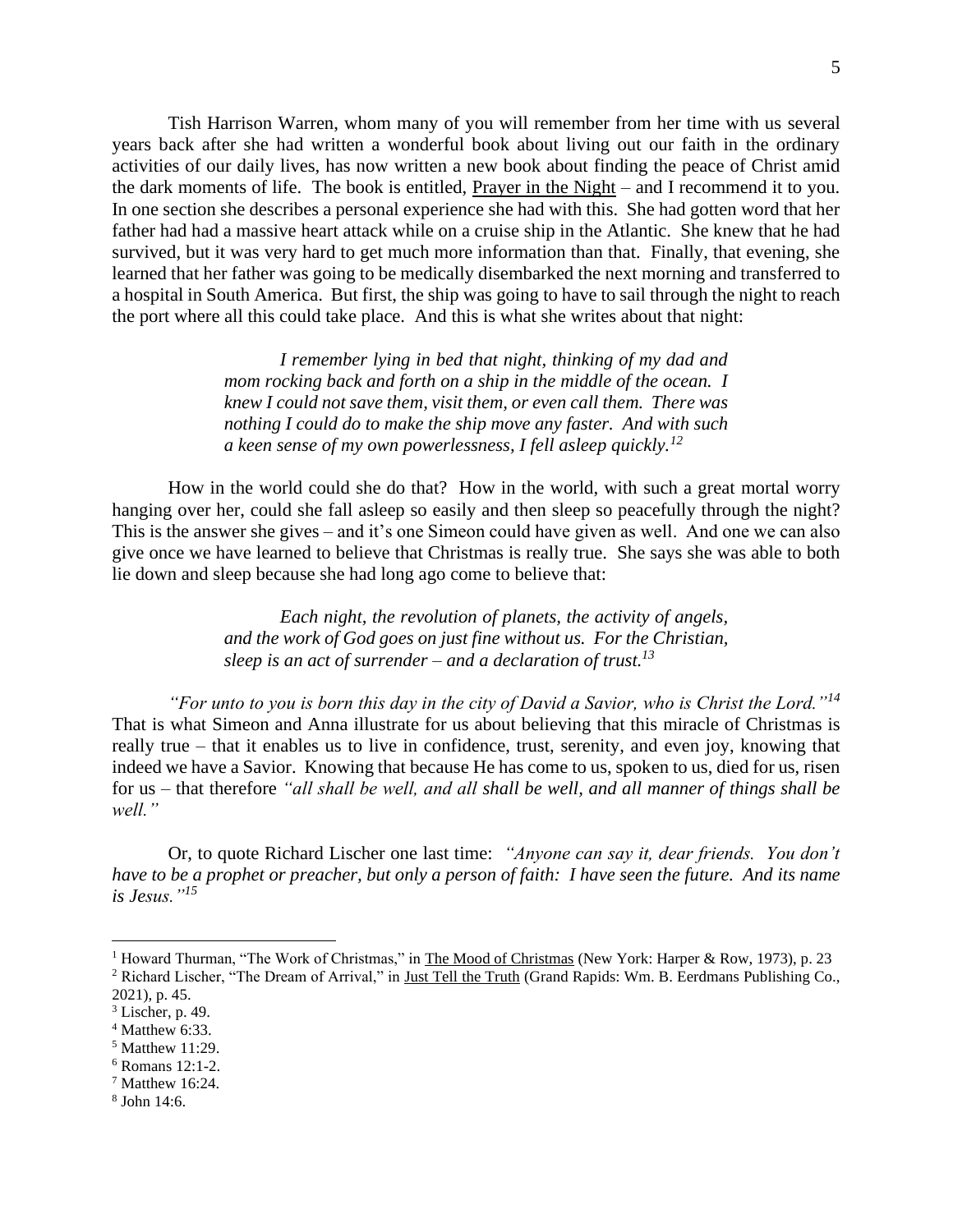Tish Harrison Warren, whom many of you will remember from her time with us several years back after she had written a wonderful book about living out our faith in the ordinary activities of our daily lives, has now written a new book about finding the peace of Christ amid the dark moments of life. The book is entitled, Prayer in the Night – and I recommend it to you. In one section she describes a personal experience she had with this. She had gotten word that her father had had a massive heart attack while on a cruise ship in the Atlantic. She knew that he had survived, but it was very hard to get much more information than that. Finally, that evening, she learned that her father was going to be medically disembarked the next morning and transferred to a hospital in South America. But first, the ship was going to have to sail through the night to reach the port where all this could take place. And this is what she writes about that night:

> *I remember lying in bed that night, thinking of my dad and mom rocking back and forth on a ship in the middle of the ocean. I knew I could not save them, visit them, or even call them. There was nothing I could do to make the ship move any faster. And with such a keen sense of my own powerlessness, I fell asleep quickly.<sup>12</sup>*

How in the world could she do that? How in the world, with such a great mortal worry hanging over her, could she fall asleep so easily and then sleep so peacefully through the night? This is the answer she gives – and it's one Simeon could have given as well. And one we can also give once we have learned to believe that Christmas is really true. She says she was able to both lie down and sleep because she had long ago come to believe that:

> *Each night, the revolution of planets, the activity of angels, and the work of God goes on just fine without us. For the Christian, sleep is an act of surrender – and a declaration of trust.<sup>13</sup>*

*"For unto to you is born this day in the city of David a Savior, who is Christ the Lord."<sup>14</sup>* That is what Simeon and Anna illustrate for us about believing that this miracle of Christmas is really true – that it enables us to live in confidence, trust, serenity, and even joy, knowing that indeed we have a Savior. Knowing that because He has come to us, spoken to us, died for us, risen for us – that therefore *"all shall be well, and all shall be well, and all manner of things shall be well."*

Or, to quote Richard Lischer one last time: *"Anyone can say it, dear friends. You don't have to be a prophet or preacher, but only a person of faith: I have seen the future. And its name is Jesus."<sup>15</sup>*

- $4$  Matthew 6:33.
- $<sup>5</sup>$  Matthew 11:29.</sup>
- <sup>6</sup> Romans 12:1-2.
- <sup>7</sup> Matthew 16:24.
- 8 John 14:6.

<sup>&</sup>lt;sup>1</sup> Howard Thurman, "The Work of Christmas," in The Mood of Christmas (New York: Harper & Row, 1973), p. 23 <sup>2</sup> Richard Lischer, "The Dream of Arrival," in Just Tell the Truth (Grand Rapids: Wm. B. Eerdmans Publishing Co.,

<sup>2021),</sup> p. 45.

 $3$  Lischer, p. 49.